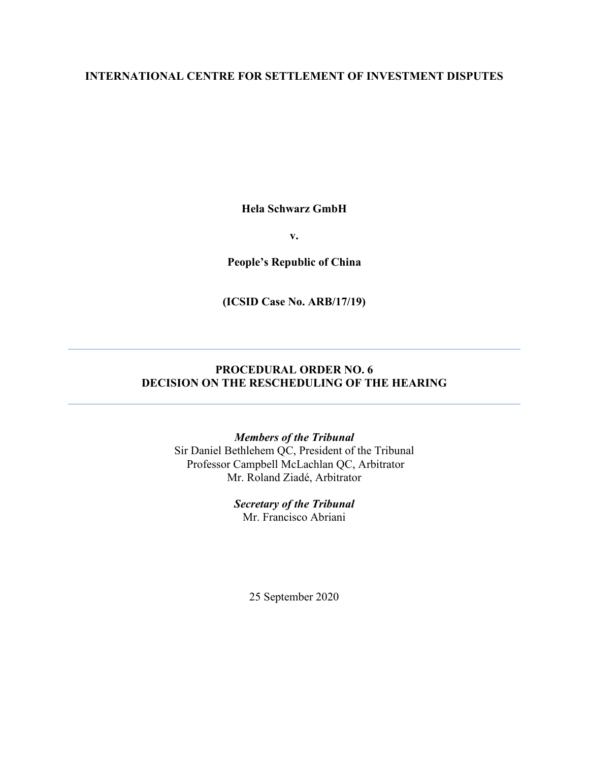### **INTERNATIONAL CENTRE FOR SETTLEMENT OF INVESTMENT DISPUTES**

**Hela Schwarz GmbH**

**v.**

**People's Republic of China**

**(ICSID Case No. ARB/17/19)**

## **PROCEDURAL ORDER NO. 6 DECISION ON THE RESCHEDULING OF THE HEARING**

#### *Members of the Tribunal*

Sir Daniel Bethlehem QC, President of the Tribunal Professor Campbell McLachlan QC, Arbitrator Mr. Roland Ziadé, Arbitrator

> *Secretary of the Tribunal* Mr. Francisco Abriani

> > 25 September 2020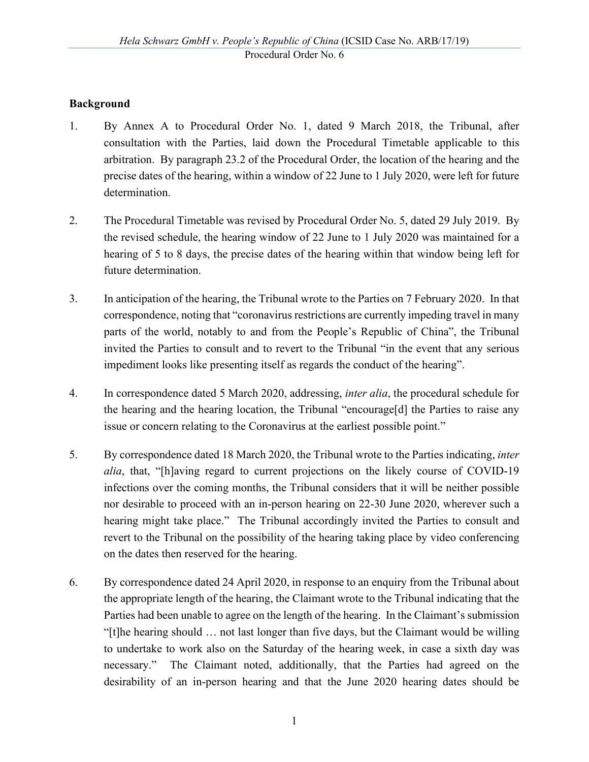## **Background**

- 1. By Annex A to Procedural Order No. 1, dated 9 March 2018, the Tribunal, after consultation with the Parties, laid down the Procedural Timetable applicable to this arbitration. By paragraph 23.2 of the Procedural Order, the location of the hearing and the precise dates of the hearing, within a window of 22 June to 1 July 2020, were left for future determination.
- 2. The Procedural Timetable was revised by Procedural Order No. 5, dated 29 July 2019. By the revised schedule, the hearing window of 22 June to 1 July 2020 was maintained for a hearing of 5 to 8 days, the precise dates of the hearing within that window being left for future determination.
- 3. In anticipation of the hearing, the Tribunal wrote to the Parties on 7 February 2020. In that correspondence, noting that "coronavirus restrictions are currently impeding travel in many parts of the world, notably to and from the People's Republic of China", the Tribunal invited the Parties to consult and to revert to the Tribunal "in the event that any serious impediment looks like presenting itself as regards the conduct of the hearing".
- 4. In correspondence dated 5 March 2020, addressing, *inter alia*, the procedural schedule for the hearing and the hearing location, the Tribunal "encourage[d] the Parties to raise any issue or concern relating to the Coronavirus at the earliest possible point."
- 5. By correspondence dated 18 March 2020, the Tribunal wrote to the Parties indicating, *inter alia*, that, "[h]aving regard to current projections on the likely course of COVID-19 infections over the coming months, the Tribunal considers that it will be neither possible nor desirable to proceed with an in-person hearing on 22-30 June 2020, wherever such a hearing might take place." The Tribunal accordingly invited the Parties to consult and revert to the Tribunal on the possibility of the hearing taking place by video conferencing on the dates then reserved for the hearing.
- 6. By correspondence dated 24 April 2020, in response to an enquiry from the Tribunal about the appropriate length of the hearing, the Claimant wrote to the Tribunal indicating that the Parties had been unable to agree on the length of the hearing. In the Claimant's submission "[t]he hearing should … not last longer than five days, but the Claimant would be willing to undertake to work also on the Saturday of the hearing week, in case a sixth day was necessary." The Claimant noted, additionally, that the Parties had agreed on the desirability of an in-person hearing and that the June 2020 hearing dates should be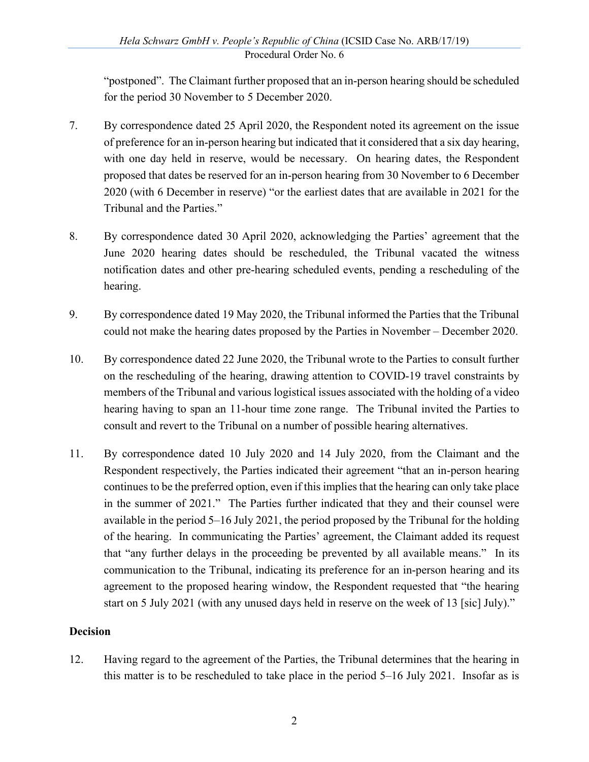"postponed". The Claimant further proposed that an in-person hearing should be scheduled for the period 30 November to 5 December 2020.

- 7. By correspondence dated 25 April 2020, the Respondent noted its agreement on the issue of preference for an in-person hearing but indicated that it considered that a six day hearing, with one day held in reserve, would be necessary. On hearing dates, the Respondent proposed that dates be reserved for an in-person hearing from 30 November to 6 December 2020 (with 6 December in reserve) "or the earliest dates that are available in 2021 for the Tribunal and the Parties."
- 8. By correspondence dated 30 April 2020, acknowledging the Parties' agreement that the June 2020 hearing dates should be rescheduled, the Tribunal vacated the witness notification dates and other pre-hearing scheduled events, pending a rescheduling of the hearing.
- 9. By correspondence dated 19 May 2020, the Tribunal informed the Parties that the Tribunal could not make the hearing dates proposed by the Parties in November – December 2020.
- 10. By correspondence dated 22 June 2020, the Tribunal wrote to the Parties to consult further on the rescheduling of the hearing, drawing attention to COVID-19 travel constraints by members of the Tribunal and various logistical issues associated with the holding of a video hearing having to span an 11-hour time zone range. The Tribunal invited the Parties to consult and revert to the Tribunal on a number of possible hearing alternatives.
- 11. By correspondence dated 10 July 2020 and 14 July 2020, from the Claimant and the Respondent respectively, the Parties indicated their agreement "that an in-person hearing continues to be the preferred option, even if this implies that the hearing can only take place in the summer of 2021." The Parties further indicated that they and their counsel were available in the period 5–16 July 2021, the period proposed by the Tribunal for the holding of the hearing. In communicating the Parties' agreement, the Claimant added its request that "any further delays in the proceeding be prevented by all available means." In its communication to the Tribunal, indicating its preference for an in-person hearing and its agreement to the proposed hearing window, the Respondent requested that "the hearing start on 5 July 2021 (with any unused days held in reserve on the week of 13 [sic] July)."

#### **Decision**

12. Having regard to the agreement of the Parties, the Tribunal determines that the hearing in this matter is to be rescheduled to take place in the period 5–16 July 2021. Insofar as is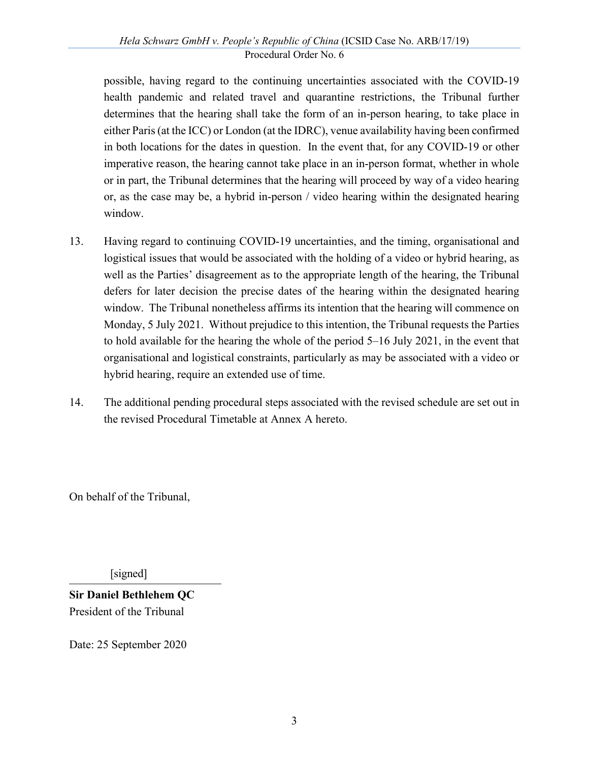possible, having regard to the continuing uncertainties associated with the COVID-19 health pandemic and related travel and quarantine restrictions, the Tribunal further determines that the hearing shall take the form of an in-person hearing, to take place in either Paris (at the ICC) or London (at the IDRC), venue availability having been confirmed in both locations for the dates in question. In the event that, for any COVID-19 or other imperative reason, the hearing cannot take place in an in-person format, whether in whole or in part, the Tribunal determines that the hearing will proceed by way of a video hearing or, as the case may be, a hybrid in-person / video hearing within the designated hearing window.

- 13. Having regard to continuing COVID-19 uncertainties, and the timing, organisational and logistical issues that would be associated with the holding of a video or hybrid hearing, as well as the Parties' disagreement as to the appropriate length of the hearing, the Tribunal defers for later decision the precise dates of the hearing within the designated hearing window. The Tribunal nonetheless affirms its intention that the hearing will commence on Monday, 5 July 2021. Without prejudice to this intention, the Tribunal requests the Parties to hold available for the hearing the whole of the period 5–16 July 2021, in the event that organisational and logistical constraints, particularly as may be associated with a video or hybrid hearing, require an extended use of time.
- 14. The additional pending procedural steps associated with the revised schedule are set out in the revised Procedural Timetable at Annex A hereto.

On behalf of the Tribunal,

 $[signed]$ 

**Sir Daniel Bethlehem QC** President of the Tribunal

Date: 25 September 2020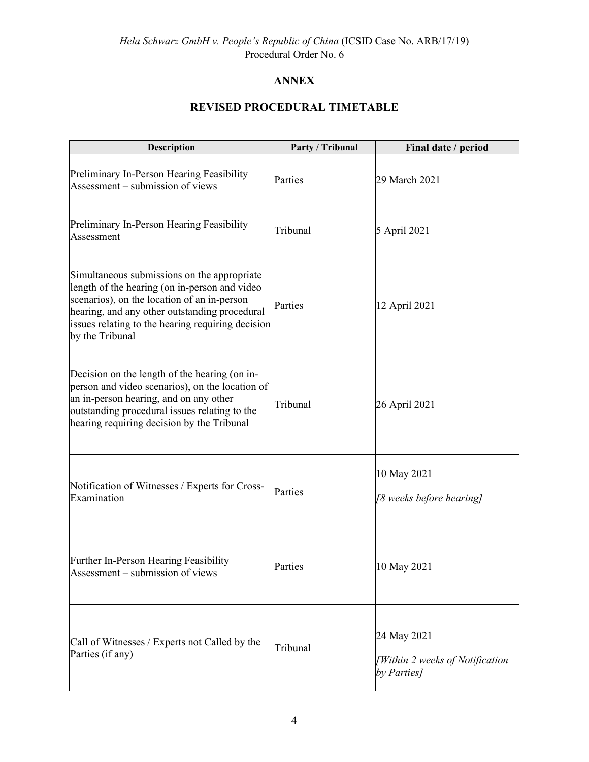Procedural Order No. 6

# **ANNEX**

# **REVISED PROCEDURAL TIMETABLE**

| Description                                                                                                                                                                                                                                                          | Party / Tribunal | Final date / period                                           |
|----------------------------------------------------------------------------------------------------------------------------------------------------------------------------------------------------------------------------------------------------------------------|------------------|---------------------------------------------------------------|
| Preliminary In-Person Hearing Feasibility<br>Assessment – submission of views                                                                                                                                                                                        | Parties          | 29 March 2021                                                 |
| Preliminary In-Person Hearing Feasibility<br>Assessment                                                                                                                                                                                                              | Tribunal         | 5 April 2021                                                  |
| Simultaneous submissions on the appropriate<br>length of the hearing (on in-person and video<br>scenarios), on the location of an in-person<br>hearing, and any other outstanding procedural<br>issues relating to the hearing requiring decision<br>by the Tribunal | Parties          | 12 April 2021                                                 |
| Decision on the length of the hearing (on in-<br>person and video scenarios), on the location of<br>an in-person hearing, and on any other<br>outstanding procedural issues relating to the<br>hearing requiring decision by the Tribunal                            | Tribunal         | 26 April 2021                                                 |
| Notification of Witnesses / Experts for Cross-<br>Examination                                                                                                                                                                                                        | Parties          | 10 May 2021<br>[8 weeks before hearing]                       |
| Further In-Person Hearing Feasibility<br>Assessment – submission of views                                                                                                                                                                                            | Parties          | 10 May 2021                                                   |
| Call of Witnesses / Experts not Called by the<br>Parties (if any)                                                                                                                                                                                                    | Tribunal         | 24 May 2021<br>[Within 2 weeks of Notification<br>by Parties] |